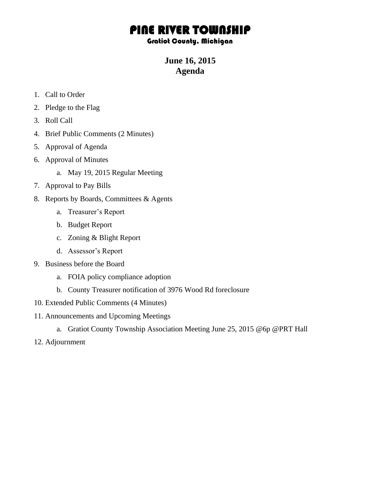## PINE RIVER TOWNSHIP

## Gratiot County, Michigan

**June 16, 2015 Agenda**

- 1. Call to Order
- 2. Pledge to the Flag
- 3. Roll Call
- 4. Brief Public Comments (2 Minutes)
- 5. Approval of Agenda
- 6. Approval of Minutes
	- a. May 19, 2015 Regular Meeting
- 7. Approval to Pay Bills
- 8. Reports by Boards, Committees & Agents
	- a. Treasurer's Report
	- b. Budget Report
	- c. Zoning & Blight Report
	- d. Assessor's Report
- 9. Business before the Board
	- a. FOIA policy compliance adoption
	- b. County Treasurer notification of 3976 Wood Rd foreclosure
- 10. Extended Public Comments (4 Minutes)
- 11. Announcements and Upcoming Meetings
	- a. Gratiot County Township Association Meeting June 25, 2015 @6p @PRT Hall
- 12. Adjournment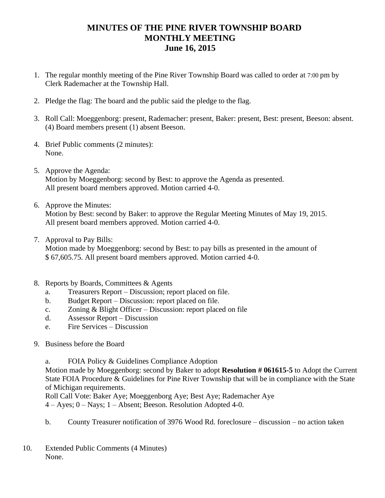## **MINUTES OF THE PINE RIVER TOWNSHIP BOARD MONTHLY MEETING June 16, 2015**

- 1. The regular monthly meeting of the Pine River Township Board was called to order at 7:00 pm by Clerk Rademacher at the Township Hall.
- 2. Pledge the flag: The board and the public said the pledge to the flag.
- 3. Roll Call: Moeggenborg: present, Rademacher: present, Baker: present, Best: present, Beeson: absent. (4) Board members present (1) absent Beeson.
- 4. Brief Public comments (2 minutes): None.
- 5. Approve the Agenda: Motion by Moeggenborg: second by Best: to approve the Agenda as presented. All present board members approved. Motion carried 4-0.
- 6. Approve the Minutes: Motion by Best: second by Baker: to approve the Regular Meeting Minutes of May 19, 2015. All present board members approved. Motion carried 4-0.
- 7. Approval to Pay Bills:

Motion made by Moeggenborg: second by Best: to pay bills as presented in the amount of \$ 67,605.75. All present board members approved. Motion carried 4-0.

- 8. Reports by Boards, Committees & Agents
	- a. Treasurers Report Discussion; report placed on file.
	- b. Budget Report Discussion: report placed on file.
	- c. Zoning & Blight Officer Discussion: report placed on file
	- d. Assessor Report Discussion
	- e. Fire Services Discussion
- 9. Business before the Board

a. FOIA Policy & Guidelines Compliance Adoption

Motion made by Moeggenborg: second by Baker to adopt **Resolution # 061615-5** to Adopt the Current State FOIA Procedure & Guidelines for Pine River Township that will be in compliance with the State of Michigan requirements.

Roll Call Vote: Baker Aye; Moeggenborg Aye; Best Aye; Rademacher Aye 4 – Ayes; 0 – Nays; 1 – Absent; Beeson. Resolution Adopted 4-0.

- b. County Treasurer notification of 3976 Wood Rd. foreclosure discussion no action taken
- 10. Extended Public Comments (4 Minutes) None.